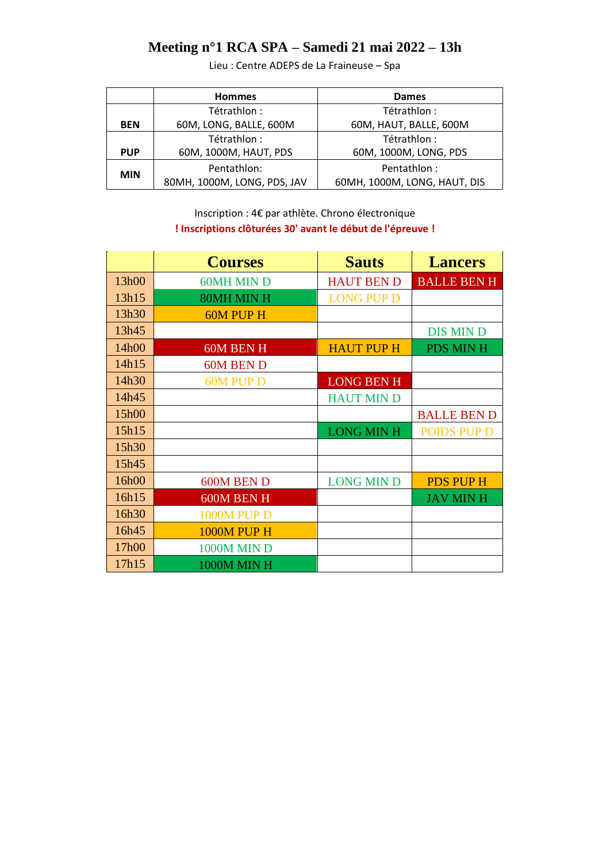### **Meeting n°1 RCA SPA – Samedi 21 mai 2022 – 13h**

Lieu : Centre ADEPS de La Fraineuse – Spa

|            | <b>Hommes</b>               | Dames                        |  |
|------------|-----------------------------|------------------------------|--|
|            | Tétrathlon :                | Tétrathlon :                 |  |
| <b>BEN</b> | 60M, LONG, BALLE, 600M      | 60M, HAUT, BALLE, 600M       |  |
|            | Tétrathlon :                | Tétrathlon :                 |  |
| <b>PUP</b> | 60M, 1000M, HAUT, PDS       | 60M, 1000M, LONG, PDS        |  |
| <b>MIN</b> | Pentathlon:                 | Pentathlon:                  |  |
|            | 80MH, 1000M, LONG, PDS, JAV | 60MH, 1000M, LONG, HAUT, DIS |  |

Inscription : 4€ par athlète. Chrono électronique **! Inscriptions clôturées 30' avant le début de l'épreuve !**

|       | <b>Courses</b>     | <b>Sauts</b>      | <b>Lancers</b>     |
|-------|--------------------|-------------------|--------------------|
| 13h00 | <b>60MH MIN D</b>  | <b>HAUT BEN D</b> | <b>BALLE BEN H</b> |
| 13h15 | 80MH MIN H         | <b>LONG PUP D</b> |                    |
| 13h30 | <b>60M PUP H</b>   |                   |                    |
| 13h45 |                    |                   | <b>DIS MIN D</b>   |
| 14h00 | 60M BEN H          | <b>HAUT PUP H</b> | <b>PDS MINH</b>    |
| 14h15 | 60M BEN D          |                   |                    |
| 14h30 | <b>60M PUP D</b>   | <b>LONG BEN H</b> |                    |
| 14h45 |                    | <b>HAUT MIN D</b> |                    |
| 15h00 |                    |                   | <b>BALLE BEND</b>  |
| 15h15 |                    | <b>LONG MIN H</b> | <b>POIDS PUP D</b> |
| 15h30 |                    |                   |                    |
| 15h45 |                    |                   |                    |
| 16h00 | 600M BEN D         | <b>LONG MIN D</b> | <b>PDS PUP H</b>   |
| 16h15 | 600M BEN H         |                   | <b>JAV MINH</b>    |
| 16h30 | <b>1000M PUP D</b> |                   |                    |
| 16h45 | <b>1000M PUP H</b> |                   |                    |
| 17h00 | <b>1000M MIN D</b> |                   |                    |
| 17h15 | <b>1000M MIN H</b> |                   |                    |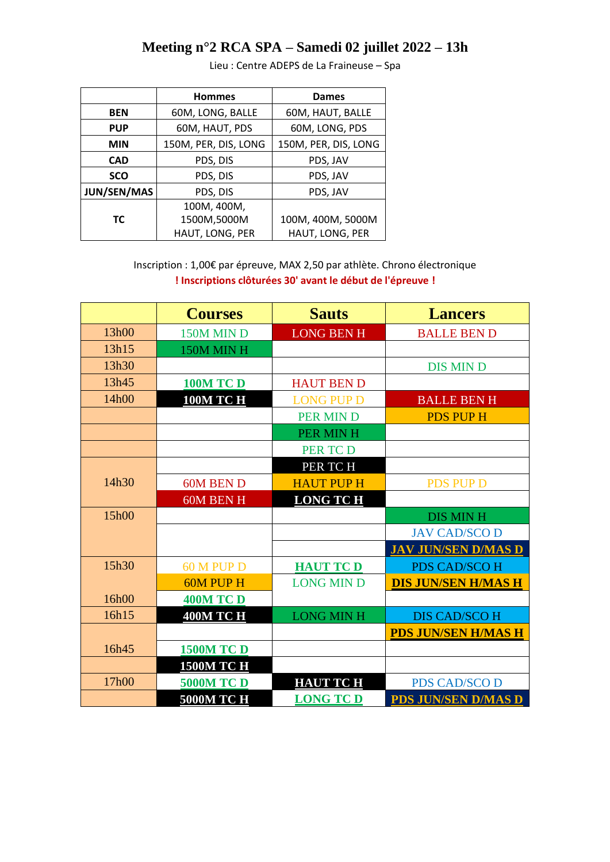## **Meeting n°2 RCA SPA – Samedi 02 juillet 2022 – 13h**

|             | <b>Hommes</b>        | <b>Dames</b>         |
|-------------|----------------------|----------------------|
| <b>BEN</b>  | 60M, LONG, BALLE     | 60M, HAUT, BALLE     |
| <b>PUP</b>  | 60M, HAUT, PDS       | 60M, LONG, PDS       |
| <b>MIN</b>  | 150M, PER, DIS, LONG | 150M, PER, DIS, LONG |
| <b>CAD</b>  | PDS, DIS             | PDS, JAV             |
| <b>SCO</b>  | PDS, DIS             | PDS, JAV             |
| JUN/SEN/MAS | PDS, DIS             | PDS, JAV             |
|             | 100M, 400M,          |                      |
| ТC          | 1500M,5000M          | 100M, 400M, 5000M    |
|             | HAUT, LONG, PER      | HAUT, LONG, PER      |

Lieu : Centre ADEPS de La Fraineuse – Spa

Inscription : 1,00€ par épreuve, MAX 2,50 par athlète. Chrono électronique **! Inscriptions clôturées 30' avant le début de l'épreuve !**

|       | <b>Courses</b>    | <b>Sauts</b>      | <b>Lancers</b>             |
|-------|-------------------|-------------------|----------------------------|
| 13h00 | 150M MIN D        | <b>LONG BEN H</b> | <b>BALLE BEN D</b>         |
| 13h15 | 150M MINH         |                   |                            |
| 13h30 |                   |                   | <b>DIS MIN D</b>           |
| 13h45 | <b>100M TC D</b>  | <b>HAUT BEN D</b> |                            |
| 14h00 | <b>100M TC H</b>  | <b>LONG PUP D</b> | <b>BALLE BEN H</b>         |
|       |                   | <b>PER MIND</b>   | <b>PDS PUP H</b>           |
|       |                   | PER MINH          |                            |
|       |                   | <b>PER TCD</b>    |                            |
|       |                   | PER TCH           |                            |
| 14h30 | 60M BEN D         | <b>HAUT PUP H</b> | <b>PDS PUP D</b>           |
|       | <b>60M BEN H</b>  | <b>LONG TCH</b>   |                            |
| 15h00 |                   |                   | <b>DIS MINH</b>            |
|       |                   |                   | <b>JAV CAD/SCO D</b>       |
|       |                   |                   | <b>JAV JUN/SEN D/MAS D</b> |
| 15h30 | 60 M PUP D        | <b>HAUT TCD</b>   | <b>PDS CAD/SCO H</b>       |
|       | <b>60M PUP H</b>  | <b>LONG MIN D</b> | <b>DIS JUN/SEN H/MAS H</b> |
| 16h00 | <b>400M TC D</b>  |                   |                            |
| 16h15 | <b>400M TC H</b>  | <b>LONG MINH</b>  | <b>DIS CAD/SCO H</b>       |
|       |                   |                   | <b>PDS JUN/SEN H/MAS H</b> |
| 16h45 | <b>1500M TC D</b> |                   |                            |
|       | <b>1500M TC H</b> |                   |                            |
| 17h00 | <b>5000M TC D</b> | <b>HAUT TC H</b>  | <b>PDS CAD/SCO D</b>       |
|       | <b>5000M TC H</b> | <b>LONG TCD</b>   | <b>PDS JUN/SEN D/MAS D</b> |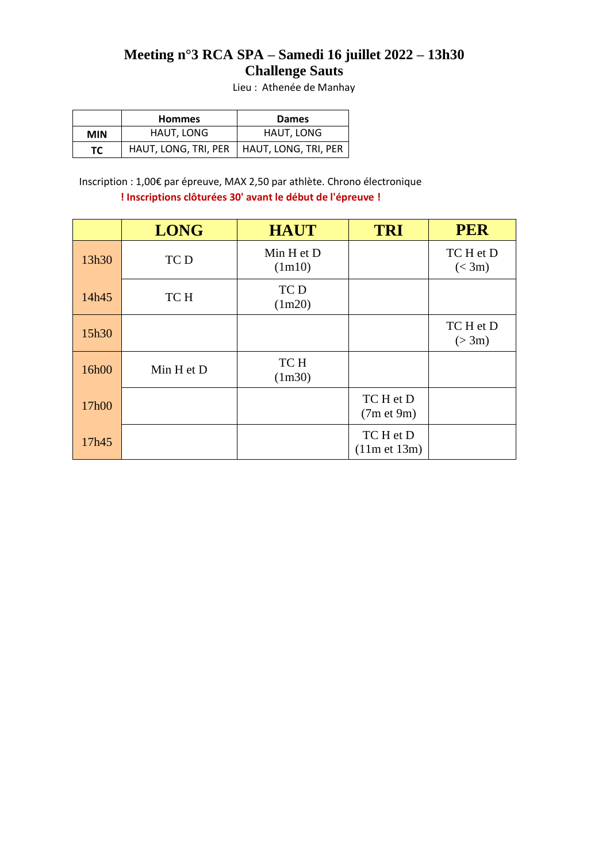#### **Meeting n°3 RCA SPA – Samedi 16 juillet 2022 – 13h30 Challenge Sauts**

Lieu : Athenée de Manhay

|            | <b>Hommes</b> | <b>Dames</b>                                |  |
|------------|---------------|---------------------------------------------|--|
| <b>MIN</b> | HAUT, LONG    | HAUT, LONG                                  |  |
| TC .       |               | HAUT, LONG, TRI, PER   HAUT, LONG, TRI, PER |  |

Inscription : 1,00€ par épreuve, MAX 2,50 par athlète. Chrono électronique **! Inscriptions clôturées 30' avant le début de l'épreuve !**

|       | <b>LONG</b> | <b>HAUT</b>          | <b>TRI</b>                | <b>PER</b>          |
|-------|-------------|----------------------|---------------------------|---------------------|
| 13h30 | TC D        | Min H et D<br>(1m10) |                           | TC H et D<br>(< 3m) |
| 14h45 | TC H        | TC D<br>(1m20)       |                           |                     |
| 15h30 |             |                      |                           | TC H et D<br>(>3m)  |
| 16h00 | Min H et D  | TC H<br>(1m30)       |                           |                     |
| 17h00 |             |                      | TC H et D<br>(7m et 9m)   |                     |
| 17h45 |             |                      | TC H et D<br>(11m et 13m) |                     |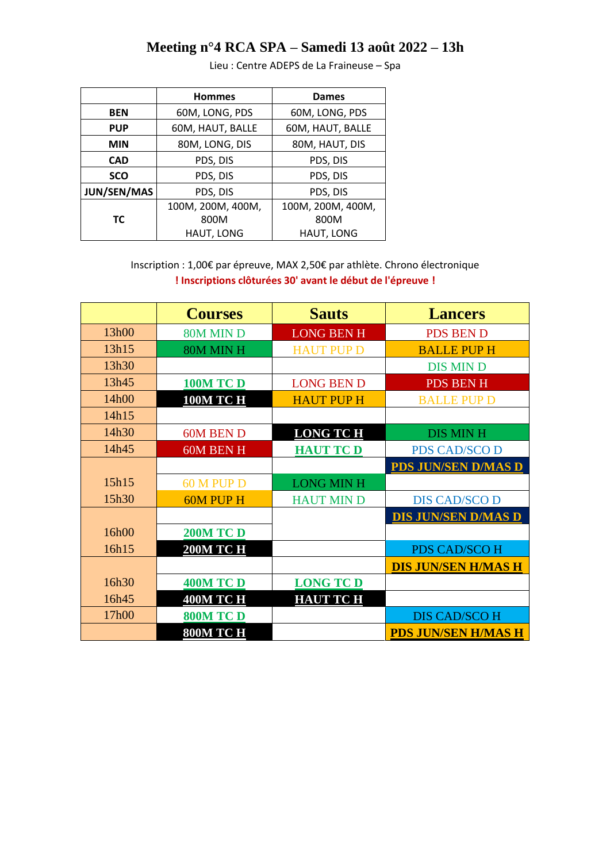## **Meeting n°4 RCA SPA – Samedi 13 août 2022 – 13h**

|                    | <b>Hommes</b>     | Dames             |
|--------------------|-------------------|-------------------|
| <b>BEN</b>         | 60M, LONG, PDS    | 60M, LONG, PDS    |
| <b>PUP</b>         | 60M, HAUT, BALLE  | 60M, HAUT, BALLE  |
| <b>MIN</b>         | 80M, LONG, DIS    | 80M, HAUT, DIS    |
| <b>CAD</b>         | PDS, DIS          | PDS, DIS          |
| <b>SCO</b>         | PDS, DIS          | PDS, DIS          |
| <b>JUN/SEN/MAS</b> | PDS, DIS          | PDS, DIS          |
|                    | 100M, 200M, 400M, | 100M, 200M, 400M, |
| ТC                 | 800M              | 800M              |
|                    | HAUT, LONG        | HAUT, LONG        |

Lieu : Centre ADEPS de La Fraineuse – Spa

Inscription : 1,00€ par épreuve, MAX 2,50€ par athlète. Chrono électronique **! Inscriptions clôturées 30' avant le début de l'épreuve !**

|       | <b>Courses</b>   | <b>Sauts</b>      | <b>Lancers</b>             |
|-------|------------------|-------------------|----------------------------|
| 13h00 | 80M MIN D        | <b>LONG BEN H</b> | <b>PDS BEN D</b>           |
| 13h15 | 80M MINH         | <b>HAUT PUP D</b> | <b>BALLE PUP H</b>         |
| 13h30 |                  |                   | <b>DIS MIN D</b>           |
| 13h45 | <b>100M TC D</b> | <b>LONG BEN D</b> | <b>PDS BEN H</b>           |
| 14h00 | <b>100M TC H</b> | <b>HAUT PUP H</b> | <b>BALLE PUP D</b>         |
| 14h15 |                  |                   |                            |
| 14h30 | 60M BEN D        | <b>LONG TCH</b>   | <b>DIS MINH</b>            |
| 14h45 | <b>60M BEN H</b> | <b>HAUT TCD</b>   | <b>PDS CAD/SCO D</b>       |
|       |                  |                   | <b>PDS JUN/SEN D/MAS D</b> |
| 15h15 | 60 M PUP D       | <b>LONG MIN H</b> |                            |
| 15h30 | <b>60M PUP H</b> | <b>HAUT MIN D</b> | <b>DIS CAD/SCO D</b>       |
|       |                  |                   | <b>DIS JUN/SEN D/MAS D</b> |
| 16h00 | <b>200M TC D</b> |                   |                            |
| 16h15 | <b>200M TC H</b> |                   | <b>PDS CAD/SCO H</b>       |
|       |                  |                   | <b>DIS JUN/SEN H/MAS H</b> |
| 16h30 | <b>400M TC D</b> | <b>LONG TCD</b>   |                            |
| 16h45 | <b>400M TC H</b> | <b>HAUT TC H</b>  |                            |
| 17h00 | <b>800M TC D</b> |                   | <b>DIS CAD/SCO H</b>       |
|       | 800M TC H        |                   | <b>PDS JUN/SEN H/MAS H</b> |